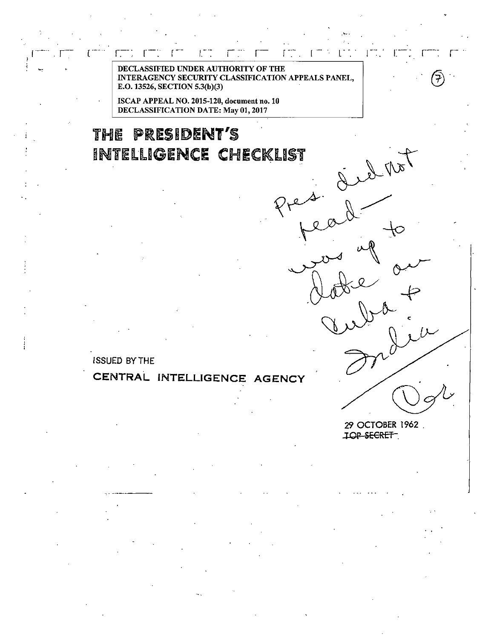DECLASSIFIED UNDER AUTHORITY OF THE INTERAGENCY SECURITY CLASSIFICATION APPEALS PANEL, E.O. 13526, SECTION 5.3(b)(3)

ISCAP APPEAL NO. 2015-120, document no. 10 DECLASSIFICATION DATE: May 01, 2017

Ľ

# THE PRESIDENT'S INTELLIGENCE CHECKLIST

ISSUED BYTHE

## **CENTRAL INTELLIGENCE AGENCY**

29 OCTOBER 1962 .

 $\mathbb{R}^n$ 

 $\mathbf{I}$ 

Presid<br>people

TOP SECRET.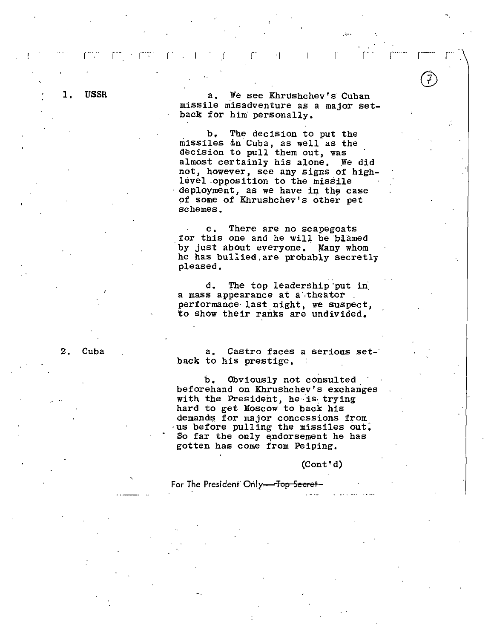1. USSR a. We see Khrushchev's Cuban missile misadventure as a major setback for him personally,

 $r$  and  $r$  is a set of  $r$  in  $r$  in  $r$  is a set of  $r$  in  $r$  is a set of  $r$ 

 $,$ 

'·

b, The decision to put the missiles in Cuba, as well as the decision to pull them out, was almost certainly his alone. We did not, however, see any signs of highlevel .opposition to the missile deployment, as we have in the case of some of Khrushchev's other pet schemes.

c. There are no scapegoats for this one and he will be blamed by just about everyone. Many whom he has bullied.are probably secretly pleased,

.. d. The top leadership ·put in. a mass appearance at a theater. performance· last night, we suspect, to show their ranks are undivided,

2. Cuba

a. Castro faces a serious set-· back to his prestige,

b, Obviously not consulted. beforehand on Khrushchev's exchanges with the President, he is trying hard to get Moscow to back his demands for major concessions from. us before pulling the missiles out. So far the only endorsement he has gotten has come from Peiping.

(Cont'd)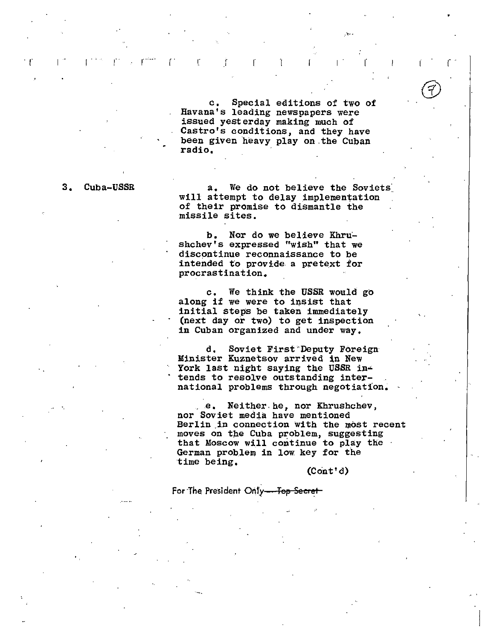c, Special editions of two of Havana's leading newspapers were issued yesterday making much of Castro's conditions, and they have been given heavy play on.the Cuban radio,

·"''·

 $\mathbf{f}^{\mathcal{A}} = \mathbf{f}^{\mathcal{A}} = \mathbf{f}^{\mathcal{A} \mathcal{A}} \mathbf{f}^{\mathcal{A}} + \mathbf{f}^{\mathcal{A} \mathcal{B}} \mathbf{f}^{\mathcal{A}} + \mathbf{f}^{\mathcal{A} \mathcal{B}}$ 

3. Cuba-USSR a. We do not believe the Soviets will attempt to delay implementation of their promise to dismantle the missile sites.

> b. Nor do we believe Khrushchev's expressed "wish" that we discontinue reconnaissance to be intended to provide a pretext for procrastination,

c, We think the USSR would go along if we were to insist that initial steps be taken immediately (next day or two) to get inspection in Cuban organized and under way,

d. Soviet First "Deputy Foreign· Minister Kuznetsov arrived in New York last night saying the USSR intends to resolve outstanding international problems through negotiation,

..e, Neither. he, nor Khrushchev, nor Soviet media have mentioned Berlin.in connection with the most recent moves on the Cuba problem, suggesting that Moscow will continue to play the · German problem in low key for the time being,

(Cont'd)

...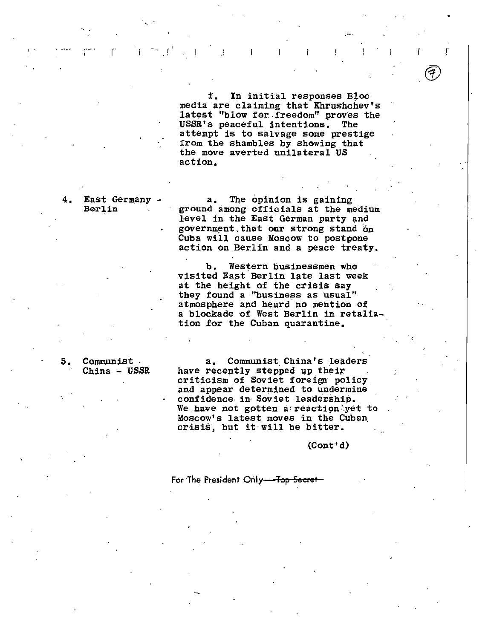f. In initial responses Bloc media are claiming that Khrushchev's latest "blow for freedom" proves the USSR's peaceful intentions, The attempt is to salvage some prestige from the shambles by showing that the move averted unilateral US action,

In a real contraction of the set of the set of the set of the set of the set of the set of the set of the set of the set of the set of the set of the set of the set of the set of the set of the set of the set of the set o

4. East Germany - a. The opinion is gaining<br>Berlin anong officials at the medium level in the East German party and government, that our strong stand on Cuba will cause Moscow to postpone action on Berlin and a peace treaty.

> b. Western businessmen who visited East Berlin late last week at the height of the crisis say they found a "business as usual" atmosphere and heard no mention of a blockade of West Berlin in retaliation for the Cuban quarantine,

5, Communist . a, Communist\_ China's \_leaders have recently stepped up their criticism of Soviet foreign policy and appear determined to undermine confidence- in Soviet leadership. We have not gotten a reaction yet to Moscow's latest moves in the Cuban\_ crisis, but it will be bitter.

(Cont'd)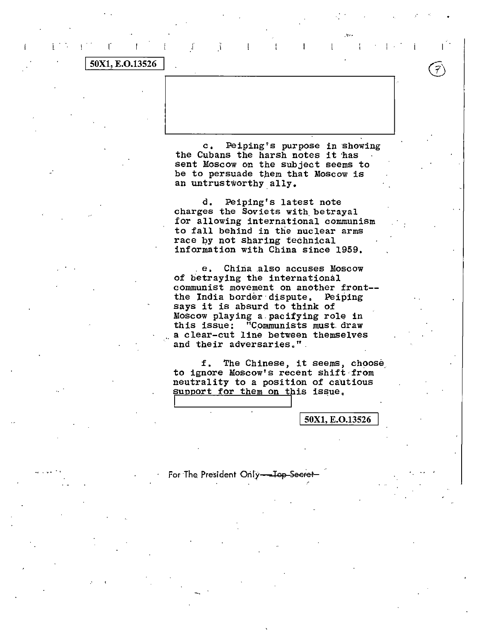### 50X1, E.O.13526

Peiping's purpose in showing  $\mathbf{c}$ . the Cubans the harsh notes it has sent Moscow on the subject seems to be to persuade them that Moscow is an untrustworthy ally.

 $\mathbf{I}$ 

 $\mathcal{F}$ 

 $\tilde{1}$ 

 $\mathbf{I}$ 

 $\Gamma$ 

Peiping's latest note d. charges the Soviets with betrayal for allowing international communism to fall behind in the nuclear arms race by not sharing technical information with China since 1959.

e. China also accuses Moscow of betraying the international communist movement on another front-the India border dispute. Peiping says it is absurd to think of Moscow playing a pacifying role in this issue: "Communists must draw a clear-cut line between themselves and their adversaries."

The Chinese, it seems, choose f. to ignore Moscow's recent shift from neutrality to a position of cautious support for them on this issue.

50X1, E.O.13526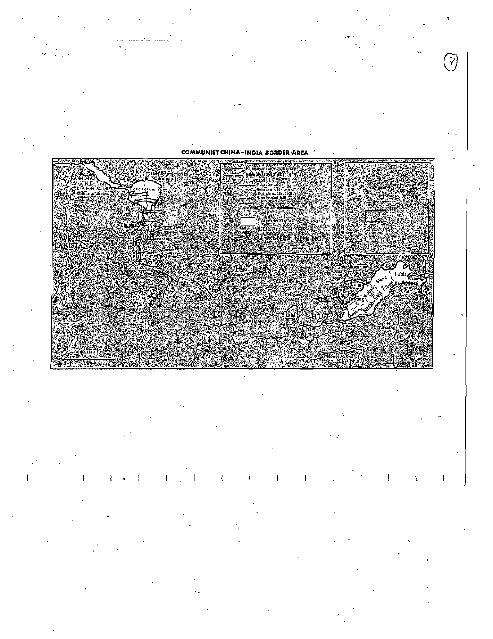

J

 $\{1,3,5,4,5,5\}$  $\downarrow$  [  $A=\omega-1$  $\sim$   $k_{\rm i}$  $\mathbf{I}$  $\mathbf{I}$  $\mathbf{I}$  $\mathbf{I}$  $\mathbb{R}$ Ť  $\blacksquare$ Ţ ł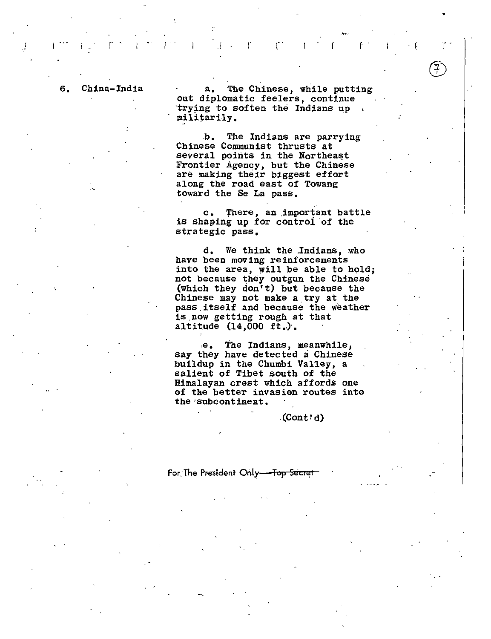6, China-India a, The Chinese, while putting out diplomatic feelers, continue ·trying to soften the Indians up militarily.

. The contract of the contract of the contract of the contract of the contract of the contract of the contract of the contract of the contract of the contract of the contract of the contract of the contract of the contrac

.b. The Indians are parrying Chinese Communist thrusts at several points in the Northeast Frontier Agency, but the Chinese are making their biggest effort along the road east of Towang toward the Se La pass,

c. There, an important battle is shaping up for control of the strategic pass,

d, We think the .Indians, who have been moving reinforcements into the area, will be able to hold; not because they outgun the Chinese (which they qon't) but because the Chinese may not make a\_ try at the pass.itself and because the weather is.now getting rough at that altitude (14,000 ft,),

.e, The Indians, meanwhile; say they have detected a Chinese buildup in the Chumbi Valley, a salient of Tibet south of the Himalayan crest which affords one of the better invasion routes into the'subcontinent,

#### .(Cont'd)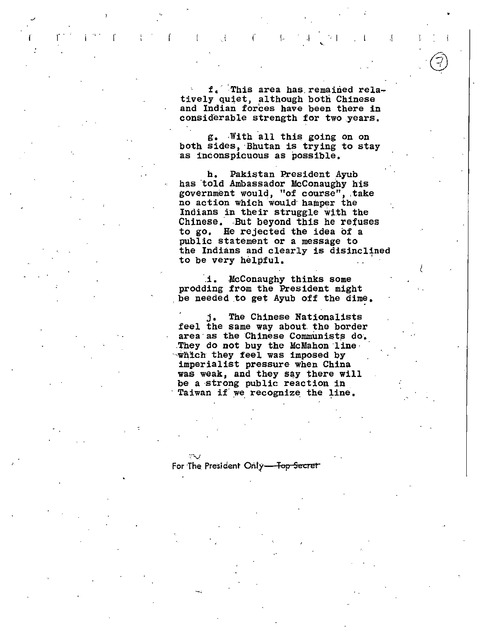f. This area has remained relatively quiet, although both Chinese and Indian forces have been there in considerable strength for two years.

44

Ą

 $\mathcal{A}$ 

T.

g. With all this going on on both sides, Bhutan is trying to stay as inconspicuous as possible.

Pakistan President Ayub b. has told Ambassador McConaughy his government would, "of course", take no action which would hamper the Indians in their struggle with the Chinese. But beyond this he refuses to go. He rejected the idea of a public statement or a message to the Indians and clearly is disinclined to be very helpful.

McConaughy thinks some .i. prodding from the President might be needed to get Ayub off the dime.

The Chinese Nationalists j. feel the same way about the border area as the Chinese Communists do. They do not buy the McMahon line. which they feel was imposed by imperialist pressure when China was weak, and they say there will be a strong public reaction in Taiwan if we recognize the line.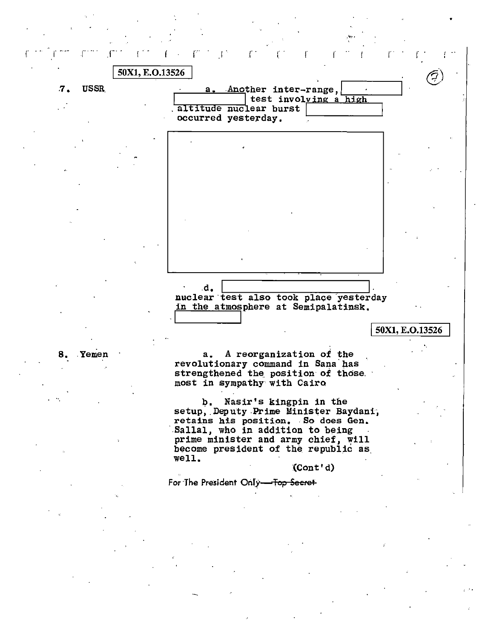r r r r - <sup>I</sup>•• ·- r· .. T 1-- r . ,. I. . r . r .  $\overline{r}$  . r .  $\overline{r}$ ' 50X1, E.O.13526 .7. USSR. · a .Another inter-ra~ge, J · I *z* I test involving a~h,\_,.i-gh,--~~-' altitude nuclear burst occurred yesterday. 8. Yemen .d. nuclear test also took place yesterday in the atmosphere at Semipalatinsk, 50X1, E.O.13526 a, A reorganization of the revolutionary command in Sana has strengthened the position of those. most in sympathy· with Cairo b. Nasir's kingpin in the setup, Deputy Prime Minister Baydani, retains his position. So does Gen. Sallal, who in addition to being prime minister and army chief, will become president of the republic as well. :(Cont'd} For The President Only-Top Secret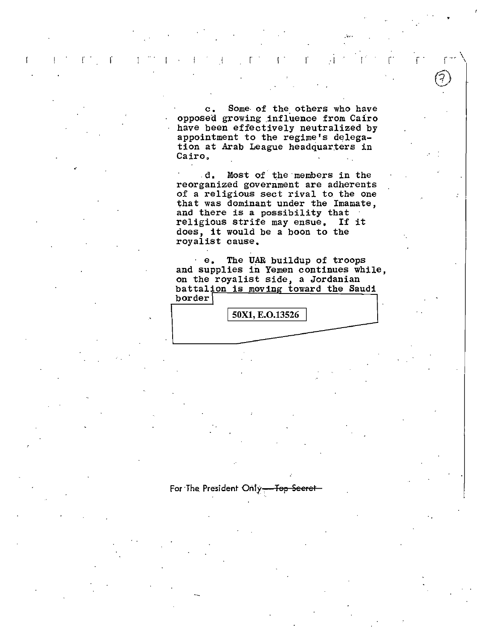$\mathbf{c}$ . Some of the others who have opposed growing influence from Cairo have been effectively neutralized by appointment to the regime's delegation at Arab League headquarters in Cairo.

 $\mathbb{C}^2$ 

 $\mathbf{I}$ 

 $\mathbb{R}^n$ 

 $\sim 1^{\circ}$ 

d. Most of the members in the reorganized government are adherents of a religious sect rival to the one that was dominant under the Imamate, and there is a possibility that religious strife may ensue. If it does, it would be a boon to the royalist cause.

The UAR buildup of troops  $\cdot$  e. and supplies in Yemen continues while, on the royalist side, a Jordanian battalion is moving toward the Saudi  $border<sup>1</sup>$ 

50X1, E.O.13526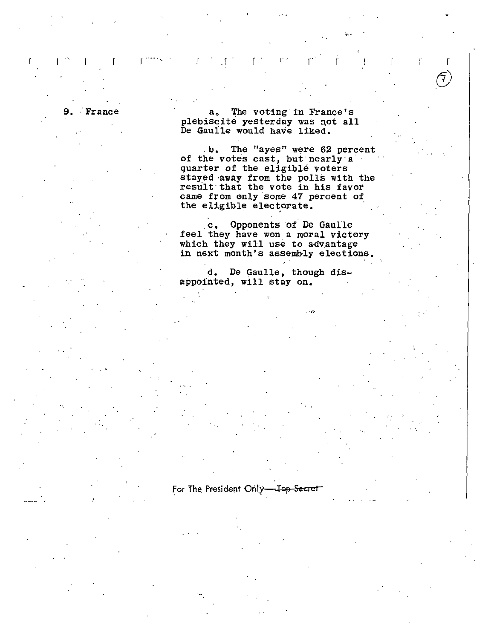France

fillings f

The voting in France's а. plebiscite yesterday was not all De Gaulle would have liked.

b. The "ayes" were 62 percent of the votes cast, but nearly a quarter of the eligible voters stayed away from the polls with the result that the vote in his favor came from only some 47 percent of the eligible electorate.

c. Opponents of De Gaulle feel they have won a moral victory which they will use to advantage in next month's assembly elections.

d. De Gaulle, though disappointed, will stay on.

For The President Only-<del>- Iop Secret</del>

£